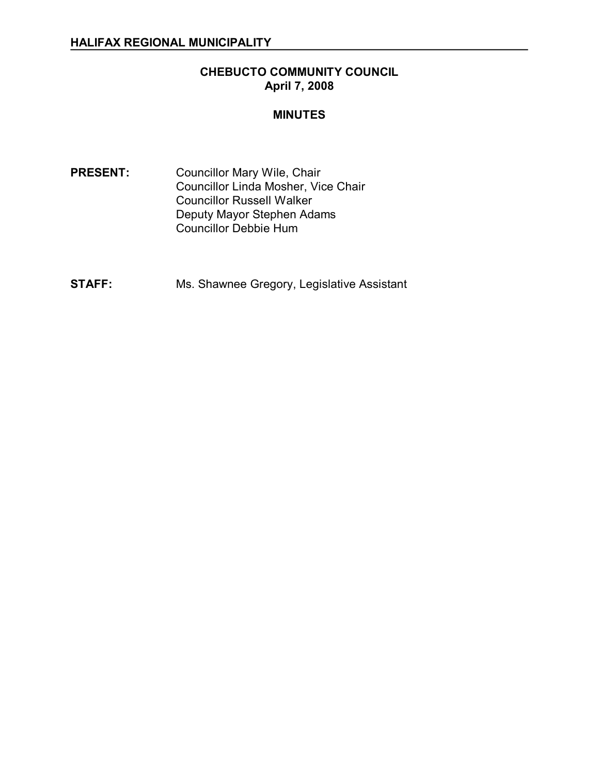## **CHEBUCTO COMMUNITY COUNCIL April 7, 2008**

#### **MINUTES**

- PRESENT: Councillor Mary Wile, Chair Councillor Linda Mosher, Vice Chair Councillor Russell Walker Deputy Mayor Stephen Adams Councillor Debbie Hum
- **STAFF:** Ms. Shawnee Gregory, Legislative Assistant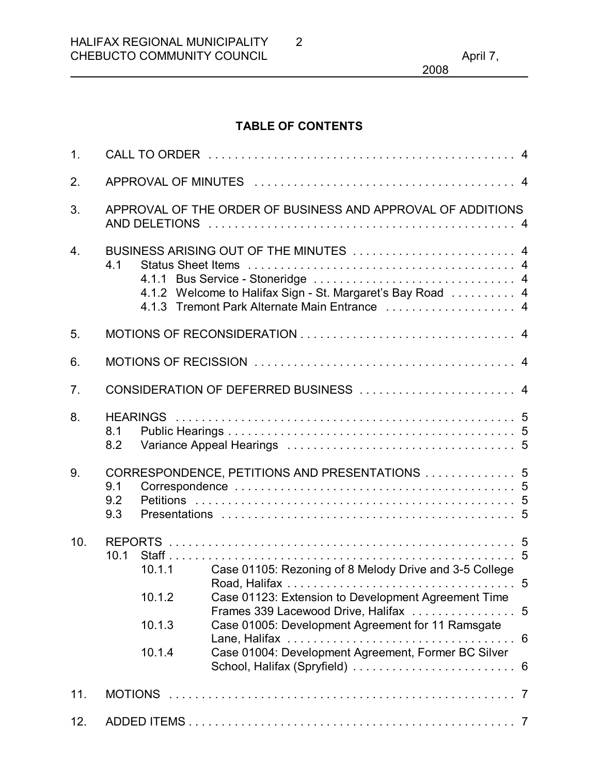2008

## **TABLE OF CONTENTS**

| 1.               |                                                                                                                                                              |                                                |                                                                                                                                                                                                                                                                                  |        |  |
|------------------|--------------------------------------------------------------------------------------------------------------------------------------------------------------|------------------------------------------------|----------------------------------------------------------------------------------------------------------------------------------------------------------------------------------------------------------------------------------------------------------------------------------|--------|--|
| 2.               |                                                                                                                                                              |                                                |                                                                                                                                                                                                                                                                                  |        |  |
| 3.               | APPROVAL OF THE ORDER OF BUSINESS AND APPROVAL OF ADDITIONS                                                                                                  |                                                |                                                                                                                                                                                                                                                                                  |        |  |
| $\overline{4}$ . | BUSINESS ARISING OUT OF THE MINUTES  4<br>4.1<br>4.1.2 Welcome to Halifax Sign - St. Margaret's Bay Road  4<br>4.1.3 Tremont Park Alternate Main Entrance  4 |                                                |                                                                                                                                                                                                                                                                                  |        |  |
| 5.               |                                                                                                                                                              |                                                |                                                                                                                                                                                                                                                                                  |        |  |
| 6.               |                                                                                                                                                              |                                                |                                                                                                                                                                                                                                                                                  |        |  |
| 7 <sub>1</sub>   | CONSIDERATION OF DEFERRED BUSINESS  4                                                                                                                        |                                                |                                                                                                                                                                                                                                                                                  |        |  |
| 8.               | 8.1<br>8.2                                                                                                                                                   |                                                |                                                                                                                                                                                                                                                                                  |        |  |
| 9.               | 9.1<br>9.2<br>9.3                                                                                                                                            | CORRESPONDENCE, PETITIONS AND PRESENTATIONS  5 |                                                                                                                                                                                                                                                                                  |        |  |
| 10.              | 10.1                                                                                                                                                         | 10.1.1<br>10.1.2<br>10.1.3<br>10.1.4           | Case 01105: Rezoning of 8 Melody Drive and 3-5 College<br>Case 01123: Extension to Development Agreement Time<br>Frames 339 Lacewood Drive, Halifax<br>Case 01005: Development Agreement for 11 Ramsgate<br>Lane, Halifax<br>Case 01004: Development Agreement, Former BC Silver | 5<br>5 |  |
| 11.              |                                                                                                                                                              |                                                |                                                                                                                                                                                                                                                                                  |        |  |
| 12.              |                                                                                                                                                              |                                                |                                                                                                                                                                                                                                                                                  |        |  |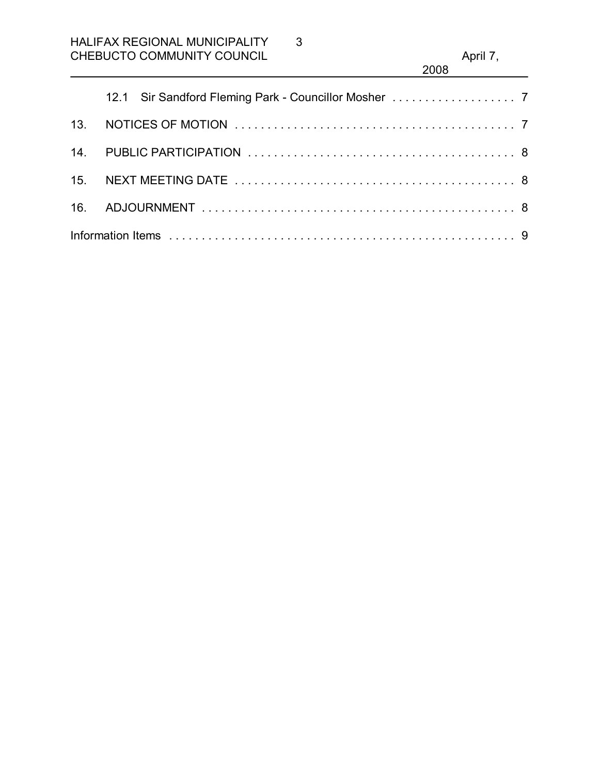3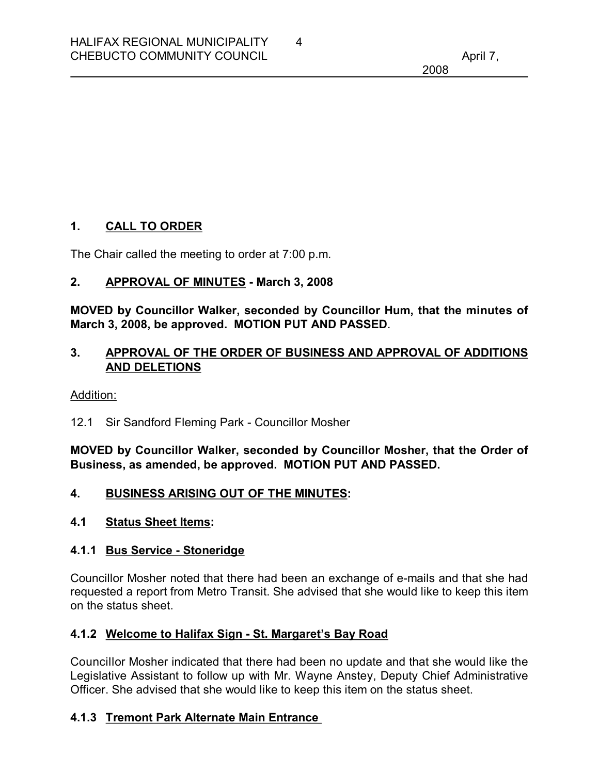### **1. CALL TO ORDER**

The Chair called the meeting to order at 7:00 p.m.

### **2. APPROVAL OF MINUTES March 3, 2008**

**MOVED by Councillor Walker, seconded by Councillor Hum, that the minutes of March 3, 2008, be approved. MOTION PUT AND PASSED**.

4

### **3. APPROVAL OF THE ORDER OF BUSINESS AND APPROVAL OF ADDITIONS AND DELETIONS**

#### Addition:

12.1 Sir Sandford Fleming Park - Councillor Mosher

**MOVED by Councillor Walker, seconded by Councillor Mosher, that the Order of Business, as amended, be approved. MOTION PUT AND PASSED.** 

#### **4. BUSINESS ARISING OUT OF THE MINUTES:**

#### **4.1 Status Sheet Items:**

#### **4.1.1 Bus Service Stoneridge**

Councillor Mosher noted that there had been an exchange of e-mails and that she had requested a report from Metro Transit. She advised that she would like to keep this item on the status sheet.

#### **4.1.2 Welcome to Halifax Sign - St. Margaret's Bay Road**

Councillor Mosher indicated that there had been no update and that she would like the Legislative Assistant to follow up with Mr. Wayne Anstey, Deputy Chief Administrative Officer. She advised that she would like to keep this item on the status sheet.

#### **4.1.3 Tremont Park Alternate Main Entrance**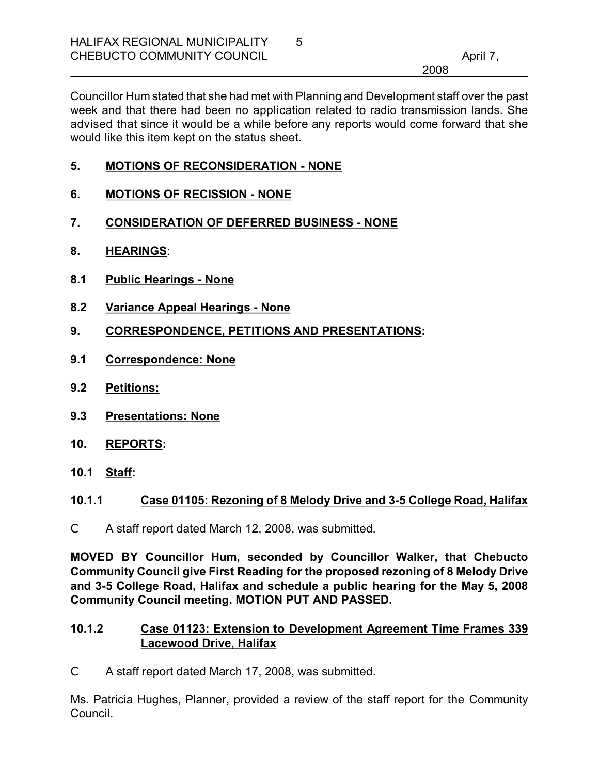Councillor Hum stated that she had met with Planning and Development staff over the past week and that there had been no application related to radio transmission lands. She advised that since it would be a while before any reports would come forward that she would like this item kept on the status sheet.

- **5. MOTIONS OF RECONSIDERATION NONE**
- **6. MOTIONS OF RECISSION NONE**
- **7. CONSIDERATION OF DEFERRED BUSINESS NONE**
- **8. HEARINGS**:
- **8.1 Public Hearings None**
- **8.2 Variance Appeal Hearings None**
- **9. CORRESPONDENCE, PETITIONS AND PRESENTATIONS:**
- **9.1 Correspondence: None**
- **9.2 Petitions:**
- **9.3 Presentations: None**
- **10. REPORTS:**
- **10.1 Staff:**

#### **10.1.1 Case 01105: Rezoning of 8 Melody Drive and 35 College Road, Halifax**

C A staff report dated March 12, 2008, was submitted.

**MOVED BY Councillor Hum, seconded by Councillor Walker, that Chebucto Community Council give First Reading for the proposed rezoning of 8 Melody Drive and 35 College Road, Halifax and schedule a public hearing for the May 5, 2008 Community Council meeting. MOTION PUT AND PASSED.** 

#### **10.1.2 Case 01123: Extension to Development Agreement Time Frames 339 Lacewood Drive, Halifax**

C A staff report dated March 17, 2008, was submitted.

Ms. Patricia Hughes, Planner, provided a review of the staff report for the Community Council.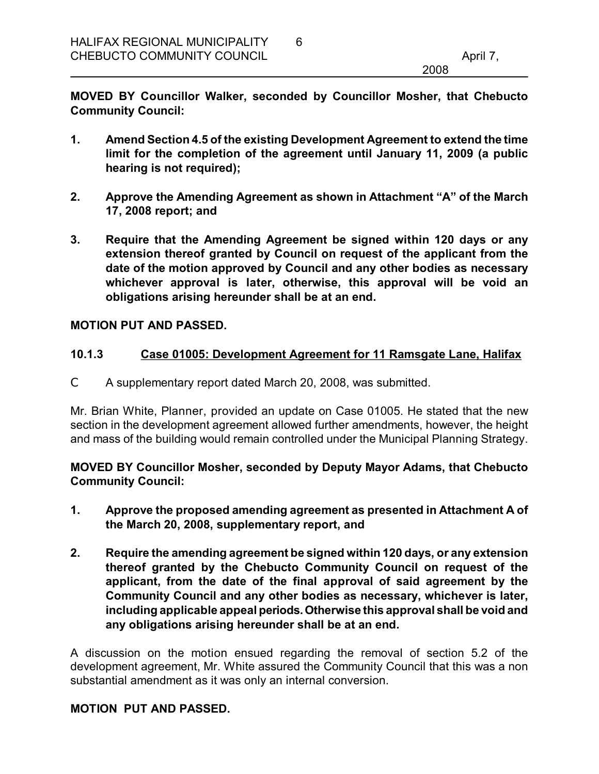**MOVED BY Councillor Walker, seconded by Councillor Mosher, that Chebucto Community Council:**

6

- **1. Amend Section 4.5 of the existing Development Agreement to extend the time limit for the completion of the agreement until January 11, 2009 (a public hearing is not required);**
- **2. Approve the Amending Agreement as shown in Attachment "A" of the March 17, 2008 report; and**
- **3. Require that the Amending Agreement be signed within 120 days or any extension thereof granted by Council on request of the applicant from the date of the motion approved by Council and any other bodies as necessary whichever approval is later, otherwise, this approval will be void an obligations arising hereunder shall be at an end.**

#### **MOTION PUT AND PASSED.**

#### **10.1.3 Case 01005: Development Agreement for 11 Ramsgate Lane, Halifax**

C A supplementary report dated March 20, 2008, was submitted.

Mr. Brian White, Planner, provided an update on Case 01005. He stated that the new section in the development agreement allowed further amendments, however, the height and mass of the building would remain controlled under the Municipal Planning Strategy.

**MOVED BY Councillor Mosher, seconded by Deputy Mayor Adams, that Chebucto Community Council:**

- **1. Approve the proposed amending agreement as presented in Attachment A of the March 20, 2008, supplementary report, and**
- **2. Require the amending agreement be signed within 120 days, or any extension thereof granted by the Chebucto Community Council on request of the applicant, from the date of the final approval of said agreement by the Community Council and any other bodies as necessary, whichever is later, including applicable appeal periods.Otherwise this approval shall be void and any obligations arising hereunder shall be at an end.**

A discussion on the motion ensued regarding the removal of section 5.2 of the development agreement, Mr. White assured the Community Council that this was a non substantial amendment as it was only an internal conversion.

#### **MOTION PUT AND PASSED.**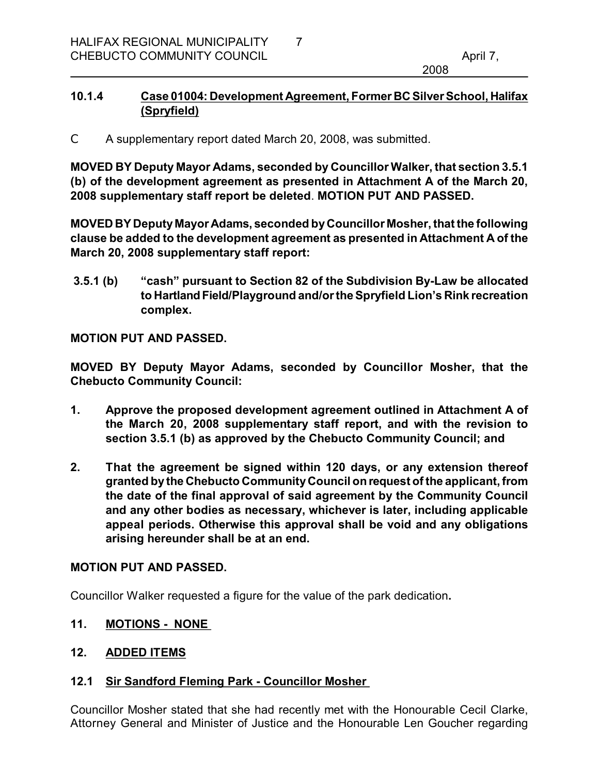### **10.1.4 Case 01004: Development Agreement, Former BC Silver School, Halifax (Spryfield)**

C A supplementary report dated March 20, 2008, was submitted.

**MOVED BY Deputy Mayor Adams, seconded by Councillor Walker, that section 3.5.1 (b) of the development agreement as presented in Attachment A ofthe March 20, 2008 supplementary staff report be deleted**. **MOTION PUT AND PASSED.** 

**MOVED BY Deputy Mayor Adams, seconded byCouncillor Mosher, that the following clause be added to the development agreement as presented in Attachment A of the March 20, 2008 supplementary staff report:**

**3.5.1 (b) "cash" pursuant to Section 82 of the Subdivision ByLaw be allocated to HartlandField/Playground and/orthe Spryfield Lion's Rink recreation complex.**

**MOTION PUT AND PASSED.** 

**MOVED BY Deputy Mayor Adams, seconded by Councillor Mosher, that the Chebucto Community Council:**

- **1. Approve the proposed development agreement outlined in Attachment A of the March 20, 2008 supplementary staff report, and with the revision to section 3.5.1 (b) as approved by the Chebucto Community Council; and**
- **2. That the agreement be signed within 120 days, or any extension thereof granted by the Chebucto CommunityCouncil onrequest of the applicant, from the date of the final approval of said agreement by the Community Council and any other bodies as necessary, whichever is later, including applicable appeal periods. Otherwise this approval shall be void and any obligations arising hereunder shall be at an end.**

#### **MOTION PUT AND PASSED.**

Councillor Walker requested a figure for the value of the park dedication**.** 

#### **11. MOTIONS NONE**

### **12. ADDED ITEMS**

### **12.1 Sir Sandford Fleming Park Councillor Mosher**

Councillor Mosher stated that she had recently met with the Honourable Cecil Clarke, Attorney General and Minister of Justice and the Honourable Len Goucher regarding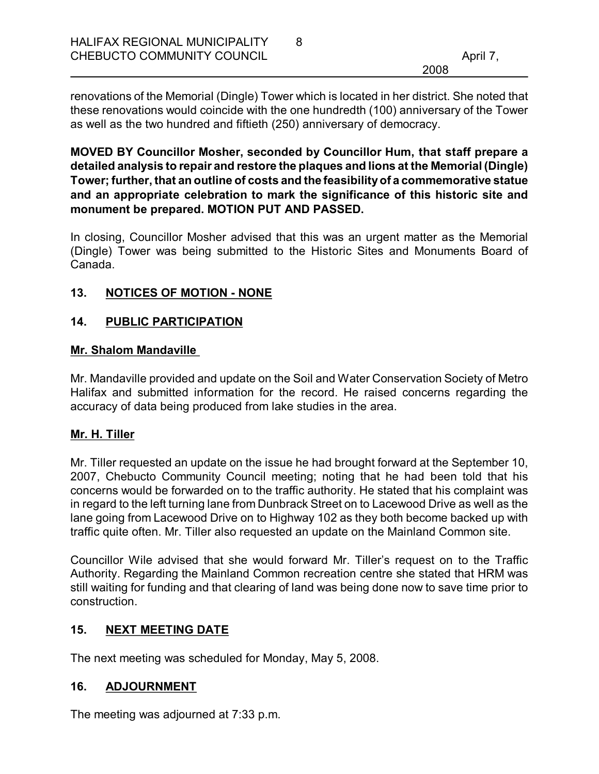renovations of the Memorial (Dingle) Tower which is located in her district. She noted that these renovations would coincide with the one hundredth (100) anniversary of the Tower as well as the two hundred and fiftieth (250) anniversary of democracy.

**MOVED BY Councillor Mosher, seconded by Councillor Hum, that staff prepare a detailed analysis to repair and restore the plaques and lions at the Memorial (Dingle) Tower; further, that an outline of costs and the feasibilityof a commemorative statue and an appropriate celebration to mark the significance of this historic site and monument be prepared. MOTION PUT AND PASSED.**

In closing, Councillor Mosher advised that this was an urgent matter as the Memorial (Dingle) Tower was being submitted to the Historic Sites and Monuments Board of Canada.

## 13. NOTICES OF MOTION - NONE

## **14. PUBLIC PARTICIPATION**

### **Mr. Shalom Mandaville**

Mr. Mandaville provided and update on the Soil and Water Conservation Society of Metro Halifax and submitted information for the record. He raised concerns regarding the accuracy of data being produced from lake studies in the area.

# **Mr. H. Tiller**

Mr. Tiller requested an update on the issue he had brought forward at the September 10, 2007, Chebucto Community Council meeting; noting that he had been told that his concerns would be forwarded on to the traffic authority. He stated that his complaint was in regard to the left turning lane from Dunbrack Street on to Lacewood Drive as well as the lane going from Lacewood Drive on to Highway 102 as they both become backed up with traffic quite often. Mr. Tiller also requested an update on the Mainland Common site.

Councillor Wile advised that she would forward Mr. Tiller's request on to the Traffic Authority. Regarding the Mainland Common recreation centre she stated that HRM was still waiting for funding and that clearing of land was being done now to save time prior to construction.

# **15. NEXT MEETING DATE**

The next meeting was scheduled for Monday, May 5, 2008.

# **16. ADJOURNMENT**

The meeting was adjourned at 7:33 p.m.